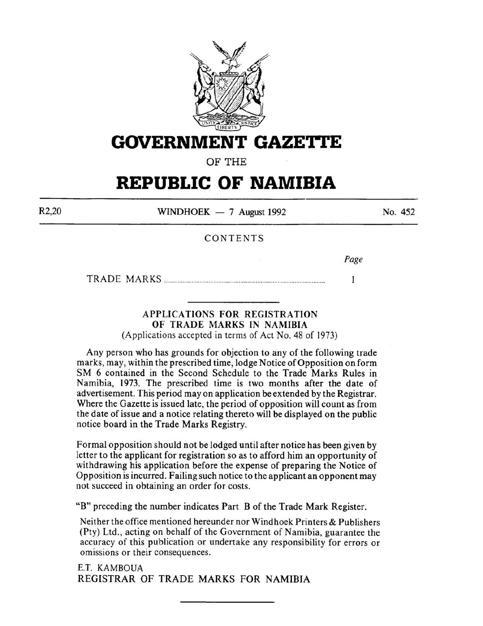

### **GOVERNMENT GAZETTE**

OF THE

## **REPUBLIC OF NAMIBIA**

 $WINDHOEK - 7$  August 1992

No. 452

#### CONTENTS

*Page* 

TRADE MARKS ................................................................. ......................... .  $\mathbf{1}$ 

#### APPLICATIONS FOR REGISTRATION OF TRADE MARKS IN NAMIBIA (Applications accepted in terms of Act No. 48 of 1973)

Any person who has grounds for objection to any of the following trade marks, may, within the prescribed time, lodge Notice of Opposition on form SM 6 contained in the Second Schedule to the Trade Marks Rules in Namibia, 1973. The prescribed time is two months after the date of advertisement. This period may on application be extended by the Registrar. Where the Gazette is issued late, the period of opposition will count as from the date of issue and a notice relating thereto will be displayed on the public notice board in the Trade Marks Registry.

Formal opposition should not be lodged until after notice has been given by letter to the applicant for registration so as to afford him an opportunity of withdrawing his application before the expense of preparing the Notice of Opposition is incurred. Failing such notice to the applicant an opponent may not succeed in obtaining an order for costs.

"B" preceding the number indicates Part B of the Trade Mark Register.

Neither the office mentioned hereunder nor Windhoek Printers & Publishers (Pty) Ltd., acting on behalf of the Government of Namibia, guarantee the accuracy of this publication or undertake any responsibility for errors or omissions or their consequences.

E.T. KAMBOUA REGISTRAR OF TRADE MARKS FOR NAMIBIA

R2,20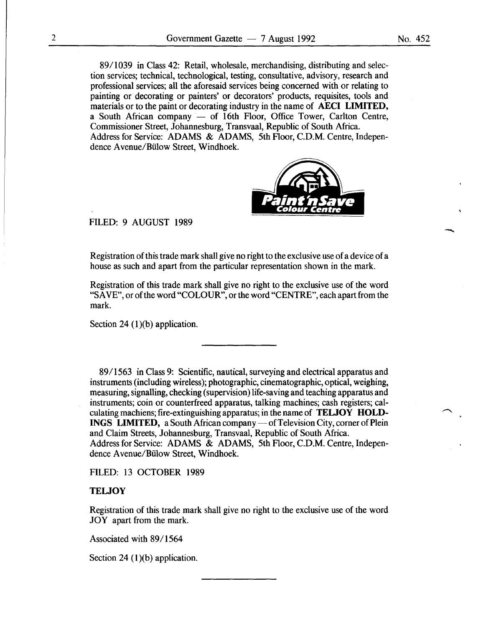89/1039 in Class 42: Retail, wholesale, merchandising, distributing and selection services; technical, technological, testing, consultative, advisory, research and professional services; all the aforesaid services being concerned with or relating to painting or decorating or painters' or decorators' products, requisites, tools and materials or to the paint or decorating industry in the name of AECI LIMITED, a South African company  $-$  of 16th Floor, Office Tower, Carlton Centre, Commissioner Street, Johannesburg, Transvaal, Republic of South Africa. Address for Service: ADAMS & ADAMS, 5th Floor, C.D.M. Centre, Independence Avenue/Bülow Street, Windhoek.



#### FILED: 9 AUGUST 1989

Registration of this trade mark shall give no right to the exclusive use of a device of a house as such and apart from the particular representation shown in the mark.

Registration of this trade mark shall give no right to the exclusive use of the word "SAVE", or ofthe word "COLOUR", or the word "CENTRE", each apart from the mark.

Section 24  $(1)(b)$  application.

89/1563 in Class 9: Scientific, nautical, surveying and electrical apparatus and instruments (including wireless); photographic, cinematographic, optical, weighing, measuring, signalling, checking (supervision) life-saving and teaching apparatus and instruments; coin or counterfreed apparatus, talking machines; cash registers; calculating machiens; fire-extinguishing apparatus; in the name of TELJOY HOLD-INGS LIMITED, a South African company — of Television City, corner of Plein and Claim Streets, Johannesburg, Transvaal, Republic of South Africa. Address for Service: ADAMS & ADAMS, 5th Floor, C.D.M. Centre, Independence A venue/Biilow Street, Windhoek.

FILED: 13 OCTOBER 1989

#### **TELJOY**

Registration of this trade mark shall give no right to the exclusive use of the word JOY apart from the mark.

Associated with 89/1564

Section 24  $(1)(b)$  application.

-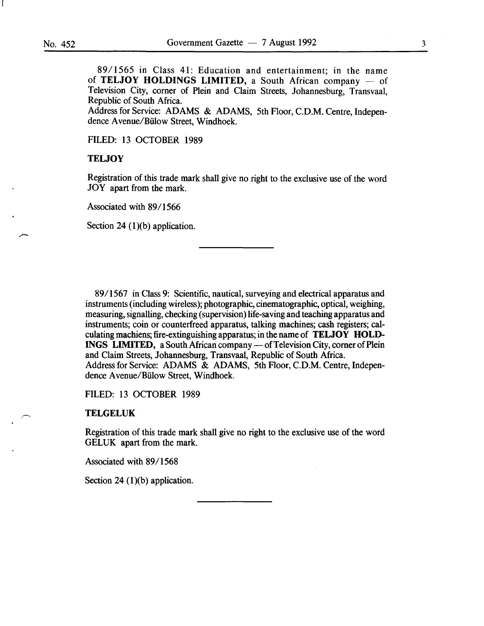89/1565 in Class 41: Education and entertainment; in the name of **TELJOY HOLDINGS LIMITED**, a South African company - of Television City, corner of Plein and Claim Streets, Johannesburg, Transvaal, Republic of South Africa.

Address for Service: ADAMS & ADAMS, 5th Floor, C.D.M. Centre, Independence Avenue/Bülow Street, Windhoek.

FILED: 13 OCTOBER 1989

#### **TELJOY**

Registration of this trade mark shall give no right to the exclusive use of the word JOY apart from the mark.

Associated with 89/1566

Section 24  $(1)(b)$  application.

8911567 in Class 9: Scientific, nautical, surveying and electrical apparatus and instruments (including wireless); photographic, cinematographic, optical, weighing, measuring, signalling, checking (supervision) life-saving and teaching apparatus and instruments; coin or counterfreed apparatus, talking machines; cash registers; calculating machiens; fire-extinguishing apparatus; in the name of **TELJOY HOLD-**INGS LIMITED, a South African company -- of Television City, corner of Plein and Claim Streets, Johannesburg, Transvaal, Republic of South Africa. Address for Service: ADAMS & ADAMS, 5th Floor, C.D.M. Centre, Independence Avenue/Bülow Street, Windhoek.

FILED: 13 OCTOBER 1989

#### **TELGELUK**

Registration of this trade mark shall give no right to the exclusive use of the word GELUK apart from the mark.

Associated with 89/1568

Section 24 (1)(b) application.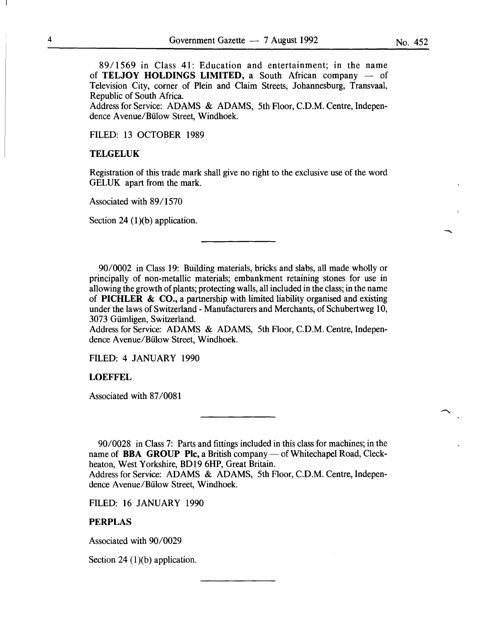89/1569 in Class 41: Education and entertainment; in the name of **TELJOY HOLDINGS LIMITED, a** South African company - of Television City, corner of Plein and Claim Streets, Johannesburg, Transvaal, Republic of South Africa.

Address for Service: ADAMS & ADAMS, 5th Floor, C.D.M. Centre, Independence A venue/Biilow Street, Windhoek.

FILED: 13 OCTOBER 1989

#### **TELGELUK**

Registration of this trade mark shall give no right to the exclusive use of the word GELUK apart from the mark.

Associated with 89/1570

Section 24  $(1)(b)$  application.

90/0002 in Class 19: Building materials, bricks and slabs, all made wholly or principally of non-metallic materials; embankment retaining stones for use in allowing the growth of plants; protecting walls, all included in the class; in the name of **PICHLER & CO.,** a partnership with limited liability organised and existing under the laws of Switzerland - Manufacturers and Merchants, of Schubertweg 10, 3073 Giimligen, Switzerland.

Address for Service: ADAMS & ADAMS, 5th Floor, C.D.M. Centre, Independence A venue/Biilow Street, Windhoek.

FILED: 4 JANUARY 1990

#### **LOEFFEL**

Associated with 87/0081

90/0028 in Class 7: Parts and fittings included in this class for machines; in the name of **BBA GROUP Plc, a British company** — of Whitechapel Road, Cleckheaton, West Yorkshire, BD 19 6HP, Great Britain.

Address for Service: ADAMS & ADAMS, 5th Floor, C.D.M. Centre, Independence Avenue/Bülow Street, Windhoek.

FILED: 16 JANUARY 1990

#### **PERPLAS**

Associated with 90/0029

Section 24  $(1)(b)$  application.

-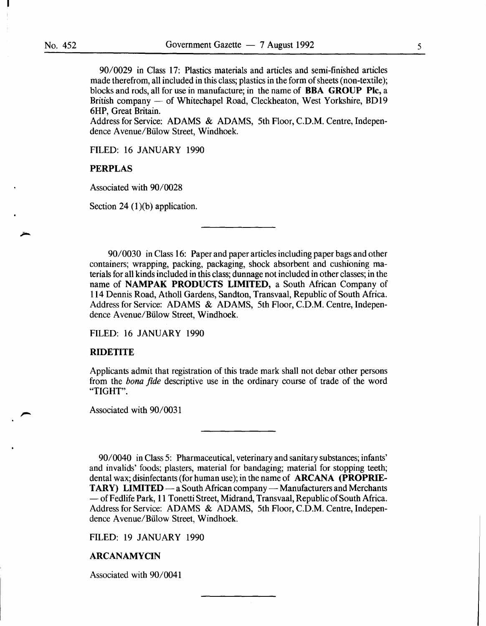90/0029 in Class 17: Plastics materials and articles and semi-finished articles made therefrom, all included in this class; plastics in the form of sheets (non-textile); blocks and rods, all for use in manufacture; in the name of BBA GROUP Pic, a British company — of Whitechapel Road, Cleckheaton, West Yorkshire, BD19 6HP, Great Britain.

Address for Service: ADAMS & ADAMS, 5th Floor, C.D.M. Centre, Independence A venue/Biilow Street, Windhoek.

FILED: 16 JANUARY 1990

#### PERPLAS

Associated with 90/0028

Section 24  $(1)(b)$  application.

90/0030 in Class 16: Paper and paper articles including paper bags and other containers; wrapping, packing, packaging, shock absorbent and cushioning materials for all kinds included in this class; dunnage not included in other classes; in the name of NAMPAK PRODUCTS LIMITED, a South African Company of 114 Dennis Road, Atholl Gardens, Sandton, Transvaal, Republic of South Africa. Address for Service: ADAMS & ADAMS, 5th Floor, C.D.M. Centre, Independence A venue/Biilow Street, Windhoek.

FILED: 16 JANUARY 1990

#### **RIDETITE**

Applicants admit that registration of this trade mark shall not debar other persons from the *bona fide* descriptive use in the ordinary course of trade of the word "TIGHT".

Associated with 90/0031

90/0040 in Class 5: Pharmaceutical, veterinary and sanitary substances; infants' and invalids' foods; plasters, material for bandaging; material for stopping teeth; dental wax; disinfectants (for human use); in the name of ARCANA (PROPRIE-**TARY)** LIMITED  $-$  a South African company  $-$  Manufacturers and Merchants -of Fedlife Park, 11 Tonetti Street, Midrand, Transvaal, Republic of South Africa. Address for Service: ADAMS & ADAMS, 5th Floor, C.D.M. Centre, Independence A venue/Biilow Street, Windhoek.

FILED: 19 JANUARY 1990

#### ARCANAMYCIN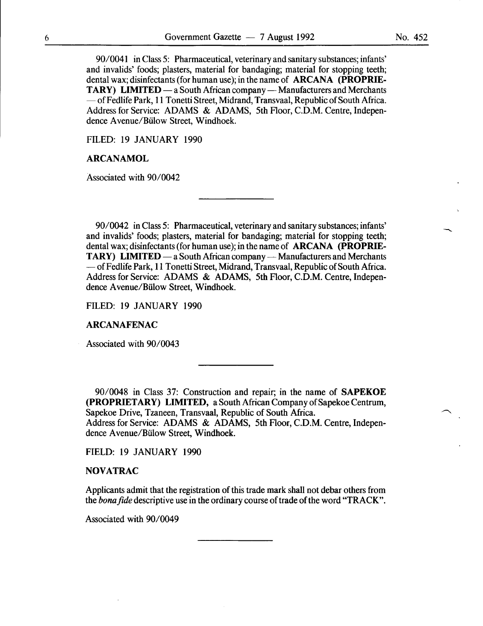90/0041 in Class 5: Pharmaceutical, veterinary and sanitary substances; infants' and invalids' foods; plasters, material for bandaging; material for stopping teeth; dental wax; disinfectants (for human use); in the name of ARCANA (PROPRIE-TARY) LIMITED — a South African company — Manufacturers and Merchants - ofFedlife Park, 11 Tonetti Street, Midrand, Transvaal, Republic of South Africa. Address for Service: ADAMS & ADAMS, 5th Floor, C.D.M. Centre, Independence A venue/Biilow Street, Windhoek.

FILED: 19 JANUARY 1990

#### ARCANAMOL

Associated with 90/0042

90/0042 in Class 5: Pharmaceutical, veterinary and sanitary substances; infants' and invalids' foods; plasters, material for bandaging; material for stopping teeth; dental wax; disinfectants (for human use); in the name of ARCANA (PROPRIE-TARY) LIMITED — a South African company — Manufacturers and Merchants - ofFedlife Park, 11 Tonetti Street, Midrand, Transvaal, Republic of South Africa. Address for Service: ADAMS & ADAMS, 5th Floor, C.D.M. Centre, Independence A venue/Biilow Street, Windhoek.

FILED: 19 JANUARY 1990

#### ARCANAFENAC

Associated with 90/0043

90/0048 in Class 37: Construction and repair; in the name of SAPEKOE (PROPRIETARY) LIMITED, a South African Company of Sapekoe Centrum, Sapekoe Drive, Tzaneen, Transvaal, Republic of South Africa. Address for Service: ADAMS & ADAMS, 5th Floor, C.D.M. Centre, Independence A venue/Biilow Street, Windhoek.

FIELD: 19 JANUARY 1990

#### NOVATRAC

Applicants admit that the registration of this trade mark shall not debar others from the *bonafide* descriptive use in the ordinary course oftrade of the word "TRACK".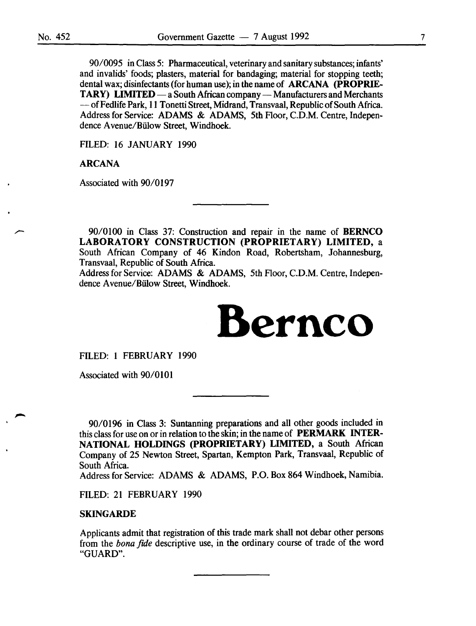90/0095 in Class 5: Pharmaceutical, veterinary and sanitary substances; infants' and invalids' foods; plasters, material for bandaging; material for stopping teeth; dental wax; disinfectants (for human use); in the name of ARCANA (PROPRIE-TARY) LIMITED — a South African company — Manufacturers and Merchants - ofFedlife Park, 11 Tonetti Street, Midrand, Transvaal, Republic of South Africa. Address for Service: ADAMS & ADAMS, 5th Floor, C.D.M. Centre, Independence Avenue/Bülow Street, Windhoek.

FILED: 16 JANUARY 1990

#### ARCANA

Associated with 90/0197

90/0100 in Class 37: Construction and repair in the name of BERNCO LABORATORY CONSTRUCTION (PROPRIETARY) LIMITED, a South African Company of 46 Kindon Road, Robertsham, Johannesburg, Transvaal, Republic of South Africa.

Address for Service: ADAMS & ADAMS, 5th Floor, C.D.M. Centre, Independence Avenue/Bülow Street, Windhoek.

## **Bern co**

FILED: 1 FEBRUARY 1990

Associated with 90/0101

90/0196 in Class 3: Suntanning preparations and all other goods included in this class for use on or in relation to the skin; in the name of PERMARK INTER-NATIONAL HOLDINGS (PROPRIETARY) LIMITED, a South African Company of 25 Newton Street, Spartan, Kempton Park, Transvaal, Republic of South Africa.

Address for Service: ADAMS & ADAMS, P.O. Box 864 Windhoek, Namibia.

FILED: 21 FEBRUARY 1990

#### **SKINGARDE**

Applicants admit that registration of this trade mark shall not debar other persons from the *bona fule* descriptive use, in the ordinary course of trade of the word "GUARD".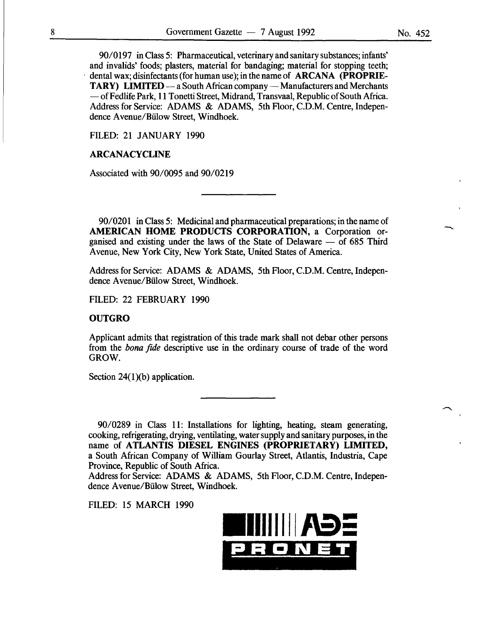90/0197 in Class 5: Pharmaceutical, veterinary and sanitary substances; infants' and invalids' foods; plasters, material for bandaging; material for stopping teeth; dental wax; disinfectants (for human use); in the name of **ARCANA** (PROPRIE-TARY) LIMITED - a South African company - Manufacturers and Merchants - ofFedlife Park, 11 Tonetti Street, Midrand, Transvaal, Republic of South Africa. Address for Service: ADAMS & ADAMS, 5th Floor, C.D.M. Centre, Independence Avenue/Bülow Street, Windhoek.

FILED: 21 JANUARY 1990

#### ARCANACYCLINE

Associated with 90/0095 and 90/0219

90/0201 in Class 5: Medicinal and pharmaceutical preparations; in the name of AMERICAN HOME PRODUCTS CORPORATION, a Corporation organised and existing under the laws of the State of Delaware  $-$  of 685 Third Avenue, New York City, New York State, United States of America.

Address for Service: ADAMS & ADAMS, 5th Floor, C.D.M. Centre, Independence A venue/Biilow Street, Windhoek.

FILED: 22 FEBRUARY 1990

#### **OUTGRO**

Applicant admits that registration of this trade mark shall not debar other persons from the *bona fide* descriptive use in the ordinary course of trade of the word GROW.

Section  $24(1)(b)$  application.

90/0289 in Class 11: Installations for lighting, heating, steam generating, cooking, refrigerating, drying, ventilating, water supply and sanitary purposes, in the name of ATLANTIS DIESEL ENGINES (PROPRIETARY) LIMITED, a South African Company of William Gourlay Street, Atlantis, Industria, Cape Province, Republic of South Africa.

Address for Service: ADAMS & ADAMS, 5th Floor, C.D.M. Centre, Independence A venue/Biilow Street, Windhoek.

FILED: 15 MARCH 1990

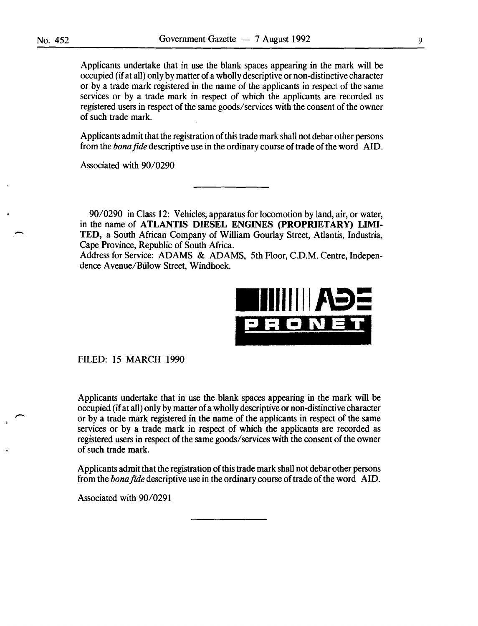$\overline{\phantom{a}}$ 

Applicants undertake that in use the blank spaces appearing in the mark will be occupied (if at all) only by matter of a wholly descriptive or non-distinctive character or by a trade mark registered in the name of the applicants in respect of the same services or by a trade mark in respect of which the applicants are recorded as registered users in respect of the same goods/ services with the consent of the owner of such trade mark.

Applicants admit that the registration of this trade mark shall not debar other persons from the *bona fide* descriptive use in the ordinary course of trade of the word AID.

Associated with 90/0290

90/0290 in Class 12: Vehicles; apparatus for locomotion by land, air, or water, in the name of **ATLANTIS DIESEL ENGINES (PROPRIETARY) LIMI-TED,** a South African Company of William Gourlay Street, Atlantis, Industria, Cape Province, Republic of South Africa.

Address for Service: ADAMS & ADAMS, 5th Floor, C.D.M. Centre, Independence A venue/Biilow Street, Windhoek.



FILED: 15 MARCH 1990

Applicants undertake that in use the blank spaces appearing in the mark will be occupied (if at all) only by matter of a wholly descriptive or non-distinctive character or by a trade mark registered in the name of the applicants in respect of the same services or by a trade mark in respect of which the applicants are recorded as registered users in respect of the same goods/services with the consent of the owner of such trade mark.

Applicants admit that the registration of this trade mark shall not debar other persons from the *bona fide* descriptive use in the ordinary course of trade of the word AID.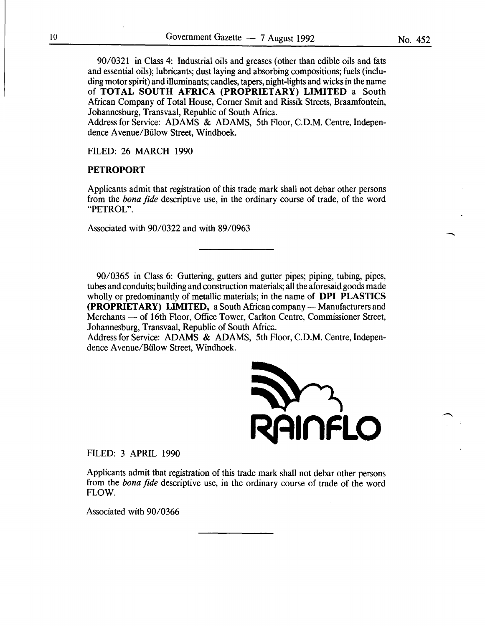-

90/0321 in Class 4: Industrial oils and greases (other than edible oils and fats and essential oils); lubricants; dust laying and absorbing compositions; fuels (including motor spirit) and illuminants; candles, tapers, night-lights and wicks in the name of TOTAL SOUTH AFRICA (PROPRIETARY) LIMITED a South African Company of Total House, Corner Smit and Rissik Streets, Braamfontein, Johannesburg, Transvaal, Republic of South Africa.

Address for Service: ADAMS & ADAMS, 5th Floor, C.D.M. Centre, Independence A venue/Biilow Street, Windhoek.

FILED: 26 MARCH 1990

#### PETROPORT

Applicants admit that registration of this trade mark shall not debar other persons from the *bona fide* descriptive use, in the ordinary course of trade, of the word "PETROL".

Associated with 90/0322 and with 89/0963

90/0365 in Class 6: Guttering, gutters and gutter pipes; piping, tubing, pipes, tubes and conduits; building and construction materials; all the aforesaid goods made wholly or predominantly of metallic materials; in the name of DPI PLASTICS (PROPRIETARY) LIMITED, a South African company- Manufacturers and Merchants - of 16th Floor, Office Tower, Carlton Centre, Commissioner Street, Johannesburg, Transvaal, Republic of South Africa.

Address for Service: ADAMS & ADAMS, 5th Floor, C.D.M. Centre, Independence Avenue/Bülow Street, Windhoek.



FILED: 3 APRIL 1990

Applicants admit that registration of this trade mark shall not debar other persons from the *bona fide* descriptive use, in the ordinary course of trade of the word FLOW.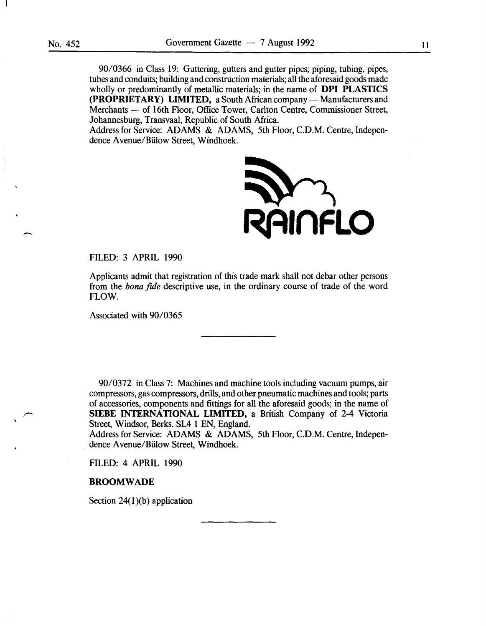90/0366 in Class 19: Guttering, gutters and gutter pipes; piping, tubing, pipes, tubes and conduits; building and construction materials; all the aforesaid goods made wholly or predominantly of metallic materials; in the name of DPI PLASTICS (PROPRIETARY) LIMITED, a South African company- Manufacturers and Merchants — of 16th Floor, Office Tower, Carlton Centre, Commissioner Street, Johannesburg, Transvaal, Republic of South Africa.

Address for Service: ADAMS & ADAMS, 5th Floor, C.D.M. Centre, Independence Avenue/Biilow Street, Windhoek.



FILED: 3 APRIL 1990

Applicants admit that registration of this trade mark shall not debar other persons from the *bona fide* descriptive use, in the ordinary course of trade of the word FLOW.

Associated with 90/0365

90/0372 in Class 7: Machines and machine tools including vacuum pumps, air compressors, gas compressors, drills, and other pneumatic machines and tools; parts of accessories, components and fittings for all the aforesaid goods; in the name of SIEBE INTERNATIONAL LIMITED, a British Company of 2-4 Victoria Street, Windsor, Berks. SL4 1 EN, England.

Address for Service: ADAMS & ADAMS, 5th Floor, C.D.M. Centre, Independence A venue/Biilow Street, Windhoek.

FILED: 4 APRIL 1990

BROOMWADE

Section  $24(1)(b)$  application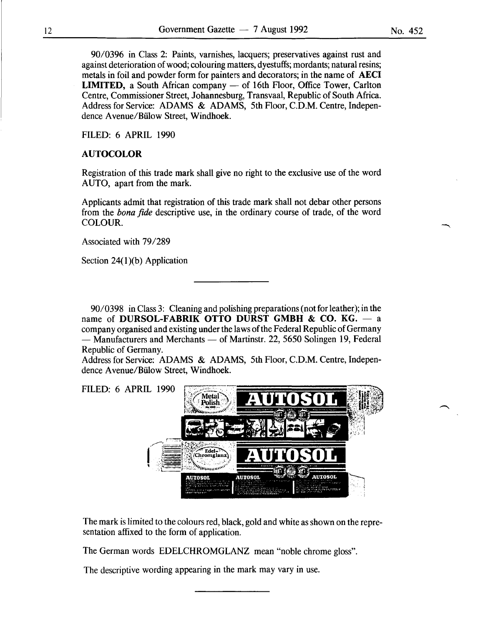90/0396 in Class 2: Paints, varnishes, lacquers; preservatives against rust and against deterioration of wood; colouring matters, dyestuffs; mordants; natural resins; metals in foil and powder form for painters and decorators; in the name of AECI **LIMITED,** a South African company — of 16th Floor, Office Tower, Carlton Centre, Commissioner Street, Johannesburg, Transvaal, Republic of South Africa. Address for Service: ADAMS & ADAMS, 5th Floor, C.D.M. Centre, Independence Avenue/Bülow Street, Windhoek.

FILED: 6 APRIL 1990

#### **AUTOCOLOR**

Registration of this trade mark shall give no right to the exclusive use of the word AUTO, apart from the mark.

Applicants admit that registration of this trade mark shall not debar other persons from the *bona fide* descriptive use, in the ordinary course of trade, of the word COLOUR.

Associated with 79/289

Section  $24(1)(b)$  Application

90/0398 in Class 3: Cleaning and polishing preparations (not for leather); in the name of **DURSOL-FABRIK OTTO DURST GMBH & CO.** KG. - a company organised and existing under the laws of the Federal Republic of Germany - Manufacturers and Merchants - of Martinstr. 22, 5650 Solingen 19, Federal Republic of Germany.

Address for Service: ADAMS & ADAMS, 5th Floor, C.D.M. Centre, Independence A venue/Biilow Street, Windhoek.



The mark is limited to the colours red, black, gold and white as shown on the representation affixed to the form of application.

The German words EDELCHROMGLANZ mean "noble chrome gloss".

The descriptive wording appearing in the mark may vary in use.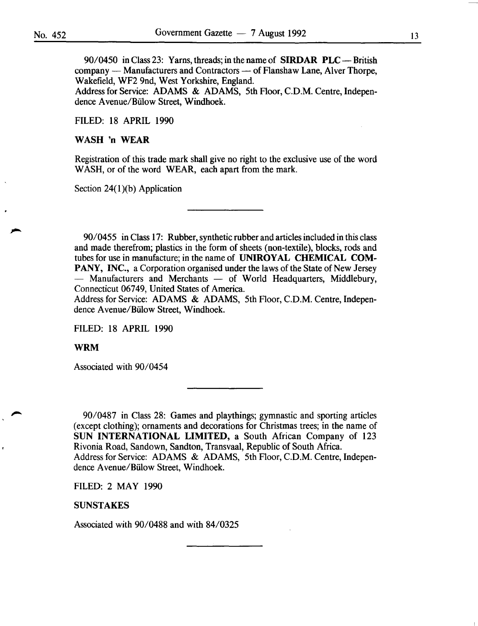90/0450 in Class 23: Yarns, threads; in the name of **SIRDAR PLC**—British company - Manufacturers and Contractors - of Flanshaw Lane, Alver Thorpe, Wakefield, WF2 9nd, West Yorkshire, England.

Address for Service: ADAMS & ADAMS, 5th Floor, C.D.M. Centre, Independence A venue/Biilow Street, Windhoek.

FILED: 18 APRIL 1990

#### WASH 'n WEAR

Registration of this trade mark shall give no right to the exclusive use of the word WASH, or of the word WEAR, each apart from the mark.

Section  $24(1)(b)$  Application

90/0455 in Class 17: Rubber, synthetic rubber and articles included in this class and made therefrom; plastics in the form of sheets (non-textile), blocks, rods and tubes for use in manufacture; in the name of UNIROYAL CHEMICAL COM-PANY, INC., a Corporation organised under the laws of the State of New Jersey  $-$  Manufacturers and Merchants  $-$  of World Headquarters, Middlebury, Connecticut 06749, United States of America.

Address for Service: ADAMS & ADAMS, 5th Floor, C.D.M. Centre, Independence A venue/Biilow Street, Windhoek.

FILED: 18 APRIL 1990

#### WRM

Associated with 90/0454

90/0487 in Class 28: Games and playthings; gymnastic and sporting articles (except clothing); ornaments and decorations for Christmas trees; in the name of SUN INTERNATIONAL LIMITED, a South African Company of 123 Rivonia Road, Sandown, Sandton, Transvaal, Republic of South Africa. Address for Service: ADAMS & ADAMS, 5th Floor, C.D.M. Centre, Independence A venue/Biilow Street, Windhoek.

FILED: 2 MAY 1990

#### SUNSTAKES

Associated with 90/0488 and with 84/0325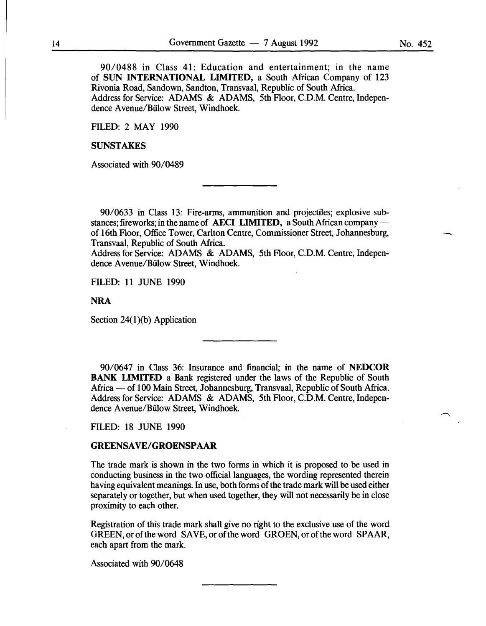90/0488 in Class 41: Education and entertainment; in the name of SUN INTERNATIONAL LIMITED, a South African Company of 123 Rivonia Road, Sandown, Sandton, Transvaal, Republic of South Africa. Address for Service: ADAMS & ADAMS, 5th Floor, C.D.M. Centre, Independence A venue/Biilow Street, Windhoek.

FILED: 2 MAY 1990

#### SUNSTAKES

Associated with 90/0489

90/0633 in Class 13: Fire-arms, ammunition and projectiles; explosive substances; fireworks; in the name of **AECI LIMITED**, a South African company of 16th Floor, Office Tower, Carlton Centre, Commissioner Street, Johannesburg, Transvaal, Republic of South Africa.

Address for Service: ADAMS & ADAMS, 5th Floor, C.D.M. Centre, Independence Avenue/Bülow Street, Windhoek.

FILED: 11 JUNE 1990

NRA

Section 24 $(1)(b)$  Application

90/0647 in Class 36: Insurance and financial; in the name of NEDCOR BANK LIMITED a Bank registered under the laws of the Republic of South Africa - of 100 Main Street, Johannesburg, Transvaal, Republic of South Africa. Address for Service: ADAMS & ADAMS, 5th Floor, C.D.M. Centre, Independence A venue/Biilow Street, Windhoek.

#### FILED: 18 JUNE 1990

#### GREENSAVE/GROENSPAAR

The trade mark is shown in the two forms in which it is proposed to be used in conducting business in the two official languages, the wording represented therein having equivalent meanings. In use, both forms of the trade mark will be used either separately or together, but when used together, they will not necessarily be in close proximity to each other.

Registration of this trade mark shall give no right to the exclusive use of the word GREEN,oroftheword SAVE,oroftheword GROEN,oroftheword SPAAR, each apart from the mark.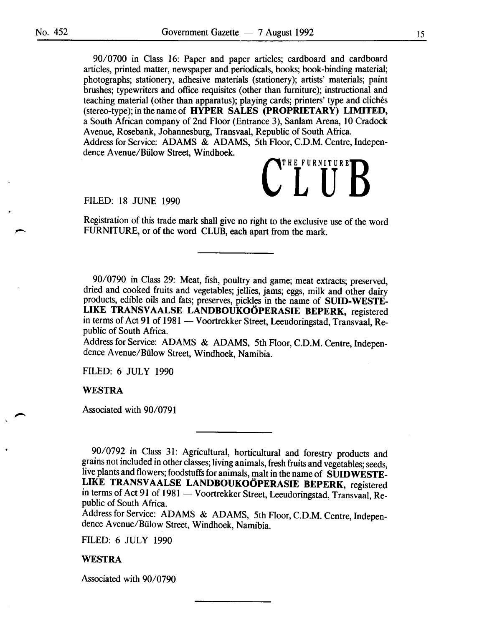90/0700 in Class 16: Paper and paper articles; cardboard and cardboard articles, printed matter, newspaper and periodicals, books; book-binding material; photographs; stationery, adhesive materials (stationery); artists' materials; paint brushes; typewriters and office requisites (other than furniture); instructional and teaching material (other than apparatus); playing cards; printers' type and cliches (stereo-type); in the name of HYPER SALES (PROPRIETARY) LIMITED, a South African company of 2nd Floor (Entrance 3), Sanlam Arena, 10 Cradock A venue, Rosebank, Johannesburg, Transvaal, Republic of South Africa. Address for Service: ADAMS & ADAMS, 5th Floor, C.D.M. Centre, Independence A venue/Biilow Street, Windhoek.

# $C$ <sup>THE FURNITURE</sup>R

FILED: 18 JUNE 1990

Registration of this trade mark shall give no right to the exclusive use of the word FURNITURE, or of the word CLUB, each apart from the mark.

90/0790 in Class 29: Meat, fish, poultry and game; meat extracts; preserved, dried and cooked fruits and vegetables; jellies, jams; eggs, milk and other dairy products, edible oils and fats; preserves, pickles in the name of SUID-WESTE-LIKE TRANSVAALSE LANDBOUKOÖPERASIE BEPERK, registered in terms of Act 91 of 1981 - Voortrekker Street, Leeudoringstad, Transvaal, Republic of South Africa.

Address for Service: ADAMS & ADAMS, 5th Floor, C.D.M. Centre, Independence A venue/Biilow Street, Windhoek, Namibia.

FILED: 6 JULY 1990

#### WESTRA

Associated with 90/0791

90/0792 in Class 31: Agricultural, horticultural and forestry products and grains not included in other classes; living animals, fresh fruits and vegetables; seeds, live plants and flowers; foodstuffs for animals, malt in the name of SUIDWESTE-LIKE TRANSVAALSE LANDBOUKOÖPERASIE BEPERK, registered in terms of Act 91 of 1981 - Voortrekker Street, Leeudoringstad, Transvaal, Republic of South Africa.

Address for Service: ADAMS & ADAMS, 5th Floor, C.D.M. Centre, Independence A venue/Biilow Street, Windhoek, Namibia.

FILED: 6 JULY 1990

#### WESTRA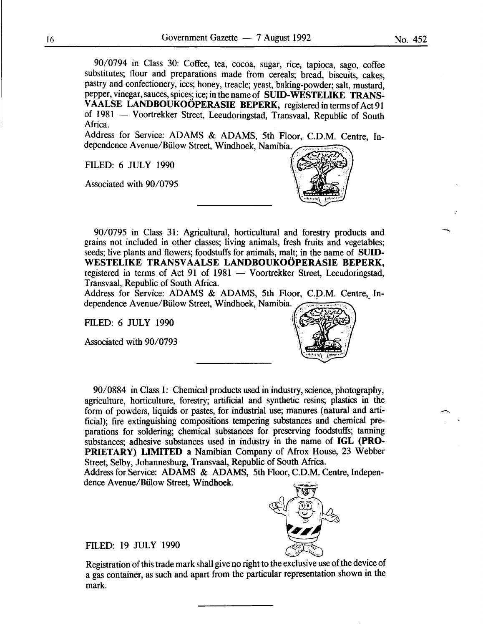90/0794 in Class 30: Coffee, tea, cocoa, sugar, rice, tapioca, sago, coffee substitutes; flour and preparations made from cereals; bread, biscuits, cakes, pastry and confectionery, ices; honey, treacle; yeast, baking-powder; salt, mustard, pepper, vinegar, sauces, spices; ice; in the name of SUID-WESTELIKE TRANS-VAALSE LANDBOUKOÖPERASIE BEPERK, registered in terms of Act 91 of 1981 - Voortrekker Street, Leeudoringstad, Transvaal, Republic of South Africa.

Address for Service: ADAMS & ADAMS, 5th Floor, C.D.M. Centre, Independence A venue/Biilow Street, Windhoek, Namibia.

FILED: 6 JULY 1990

Associated with 90/0795



90/0795 in Class 31: Agricultural, horticultural and forestry products and grains not included in other classes; living animals, fresh fruits and vegetables; seeds; live plants and flowers; foodstuffs for animals, malt; in the name of SUID-WESTELIKE TRANSVAALSE LANDBOUKOÖPERASIE BEPERK. registered in terms of Act 91 of 1981 - Voortrekker Street, Leeudoringstad, Transvaal, Republic of South Africa.

Address for Service: ADAMS & ADAMS, 5th Floor, C.D.M. Centre, Independence Avenue/Bülow Street, Windhoek, Namibia.

FILED: 6 JULY 1990

Associated with 90/0793



90/0884 in Class 1: Chemical products used in industry, science, photography, agriculture, horticulture, forestry; artificial and synthetic resins; plastics in the form of powders, liquids or pastes, for industrial use; manures (natural and artificial); fire extinguishing compositions tempering substances and chemical preparations for soldering; chemical substances for preserving foodstuffs; tanning substances; adhesive substances used in industry in the name of IGL (PRO-PRIETARY) LIMITED a Namibian Company of Afrox House, 23 Webber Street, Selby, Johannesburg, Transvaal, Republic of South Africa.

Address for Service: ADAMS & ADAMS, 5th Floor, C.D.M. Centre, Independence A venue/Biilow Street, Windhoek.



FILED: 19 JULY 1990

Registration of this trade mark shall give no right to the exclusive use of the device of a gas container, as such and apart from the particular representation shown in the mark.

-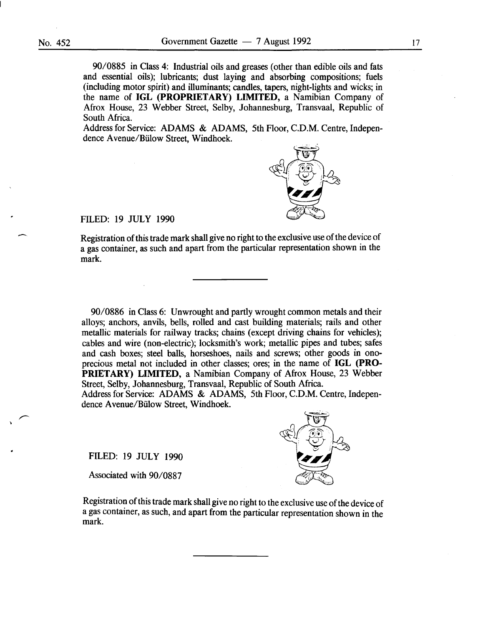90/0885 in Class 4: Industrial oils and greases (other than edible oils and fats and essential oils); lubricants; dust laying and absorbing compositions; fuels (including motor spirit) and illuminants; candles, tapers, night-lights and wicks; in the name of IGL (PROPRIETARY) LIMITED, a Namibian Company of Afrox House, 23 Webber Street, Selby, Johannesburg, Transvaal, Republic of South Africa.

Address for Service: ADAMS & ADAMS, 5th Floor, C.D.M. Centre, Independence Avenue/Bülow Street, Windhoek.



FILED: 19 JULY 1990

Registration of this trade mark shall give no right to the exclusive use of the device of a gas container, as such and apart from the particular representation shown in the mark.

90/0886 in Class 6: Unwrought and partly wrought common metals and their alloys; anchors, anvils, bells, rolled and cast building materials; rails and other metallic materials for railway tracks; chains (except driving chains for vehicles); cables and wire (non-electric); locksmith's work; metallic pipes and tubes; safes and cash boxes; steel balls, horseshoes, nails and screws; other goods in onoprecious metal not included in other classes; ores; in the name of IGL **(PRO-**PRIETARY) LIMITED, a Namibian Company of Afrox House, 23 Webber Street, Selby, Johannesburg, Transvaal, Republic of South Africa.

Address for Service: ADAMS & ADAMS, 5th Floor, C.D.M. Centre, Independence A venue/Biilow Street, Windhoek.

FILED: 19 JULY 1990

Associated with 90/0887

Registration of this trade mark shall give no right to the exclusive use of the device of a gas container, as such, and apart from the particular representation shown in the mark.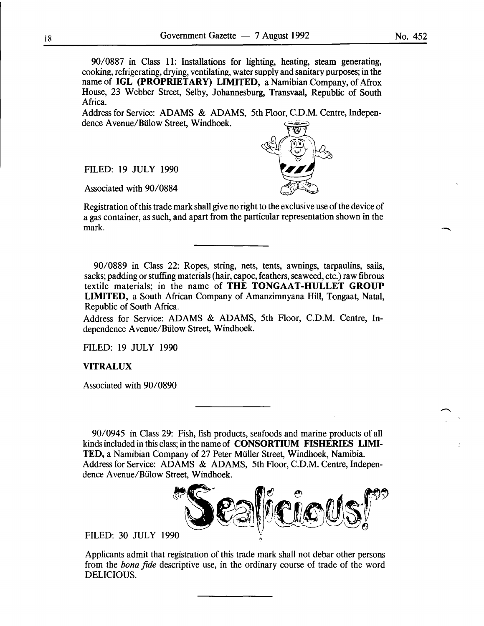90/0887 in Class **11:** Installations for lighting, heating, steam generating, cooking, refrigerating, drying, ventilating, water supply and sanitary purposes; in the name of **IGL (PROPRIETARY) LIMITED,** a Namibian Company, of Afrox House, 23 Webber Street, Selby, Johannesburg, Transvaal, Republic of South Africa.

Address for Service: ADAMS & ADAMS, 5th Floor, C.D.M. Centre, Independence A venue/Biilow Street, Windhoek.

FILED: 19 JULY 1990

Associated with 90/0884

Registration of this trade mark shall give no right to the exclusive use of the device of a gas container, as such, and apart from the particular representation shown in the mark.

90/0889 in Class 22: Ropes, string, nets, tents, awnings, tarpaulins, sails, sacks; padding or stuffing materials (hair, capoc, feathers, seaweed, etc.) raw fibrous textile materials; in the name of **THE TONGAAT-HULLET GROUP LIMITED,** a South African Company of Amanzimnyana Hill, Tongaat, Natal, Republic of South Africa.

Address for Service: ADAMS & ADAMS, 5th Floor, C.D.M. Centre, Independence A venue/Biilow Street, Windhoek.

FILED: 19 JULY 1990

#### **VITRALUX**

Associated with 90/0890

90/0945 in Class 29: Fish, fish products, seafoods and marine products of all kinds included in this class; in the name of **CONSORTIUM FISHERIES LIMI-TED,** a Namibian Company of 27 Peter Miiller Street, Windhoek, Namibia. Address for Service: ADAMS & ADAMS, 5th Floor, C.D.M. Centre, Independence A venue/Biilow Street, Windhoek.



**FILED: 30 JULY 1990** 

Applicants admit that registration of this trade mark shall not debar other persons from the *bona fide* descriptive use, in the ordinary course of trade of the word DELICIOUS.

-

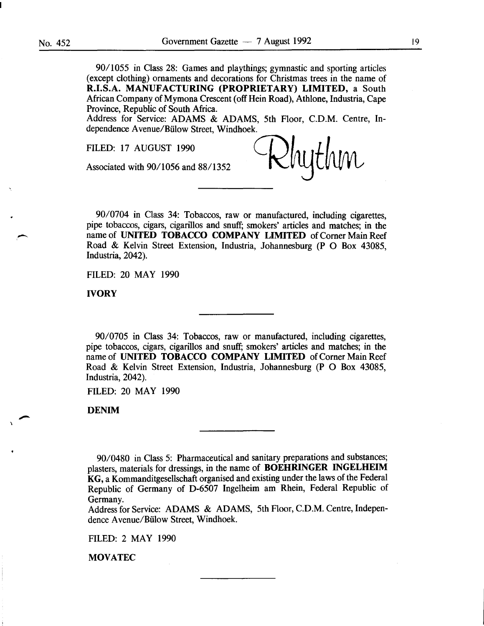90/1055 in Class 28: Games and playthings; gymnastic and sporting articles (except clothing) ornaments and decorations for Christmas trees in the name of R.I.S.A. MANUFACTURING (PROPRIETARY) LIMITED, a South African Company of Mymona Crescent (off Hein Road), Athlone, Industria, Cape Province, Republic of South Africa.

Address for Service: ADAMS & ADAMS, 5th Floor, C.D.M. Centre, Independence A venue/Biilow Street, Windhoek.

FILED: 17 AUGUST 1990<br>Associated with 90/1056 and 88/1352 VUUUW

90/0704 in Class 34: Tobaccos, raw or manufactured, including cigarettes, pipe tobaccos, cigars, cigarillos and snuff; smokers' articles and matches; in the name of UNITED TOBACCO COMPANY LIMITED of Corner Main Reef Road & Kelvin Street Extension, Industria, Johannesburg (P 0 Box 43085, Industria, 2042).

FILED: 20 MAY 1990

IVORY

90/0705 in Class 34: Tobaccos, raw or manufactured, including cigarettes, pipe tobaccos, cigars, cigarillos and snuff; smokers' articles and matches; in the name of UNITED TOBACCO COMPANY LIMITED of Corner Main Reef Road & Kelvin Street Extension, Industria, Johannesburg (P 0 Box 43085, Industria, 2042).

FILED: 20 MAY 1990

DENIM

90/0480 in Class 5: Pharmaceutical and sanitary preparations and substances; plasters, materials for dressings, in the name of BOEHRINGER INGELHEIM KG, a Kommanditgesellschaft organised and existing under the laws of the Federal Republic of Germany of D-6507 Ingelheim am Rhein, Federal Republic of Germany.

Address for Service: ADAMS & ADAMS, 5th Floor, C.D.M. Centre, Independence A venue/Biilow Street, Windhoek.

FILED: 2 MAY 1990

MOVATEC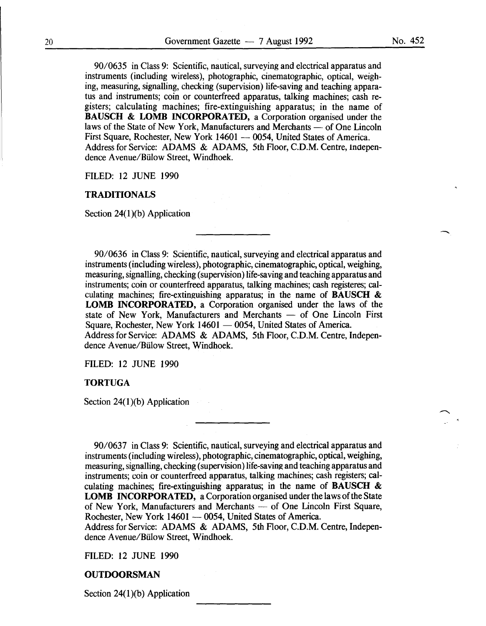90/0635 in Class 9: Scientific, nautical, surveying and electrical apparatus and instruments (including wireless), photographic, cinematographic, optical, weighing, measuring, signalling, checking (supervision) life-saving and teaching apparatus and instruments; coin or counterfreed apparatus, talking machines; cash registers; calculating machines; fire-extinguishing apparatus; in the name of BAUSCH & LOMB INCORPORATED, a Corporation organised under the laws of the State of New York, Manufacturers and Merchants — of One Lincoln First Square, Rochester, New York 14601 - 0054, United States of America. Address for Service: ADAMS & ADAMS, 5th Floor, C.D.M. Centre, Independence A venue/Biilow Street, Windhoek.

FILED: 12 JUNE 1990

#### TRADITIONALS

Section  $24(1)(b)$  Application

90/0636 in Class 9: Scientific, nautical, surveying and electrical apparatus and instruments (including wireless), photographic, cinematographic, optical, weighing, measuring, signalling, checking (supervision) life-saving and teaching apparatus and instruments; coin or counterfreed apparatus, talking machines; cash registeres; calculating machines; fire-extinguishing apparatus; in the name of BAUSCH  $\&$ LOMB INCORPORATED, a Corporation organised under the laws of the state of New York, Manufacturers and Merchants  $-$  of One Lincoln First Square, Rochester, New York 14601 - 0054, United States of America. Address for Service: ADAMS & ADAMS, 5th Floor, C.D.M. Centre, Independence A venue/Biilow Street, Windhoek.

FILED: 12 JUNE 1990

#### **TORTUGA**

Section 24( $1$ )(b) Application

90/0637 in Class 9: Scientific, nautical, surveying and electrical apparatus and instruments (including wireless), photographic, cinematographic, optical, weighing, measuring, signalling, checking (supervision) life-saving and teaching apparatus and instruments; coin or counterfreed apparatus, talking machines; cash registers; calculating machines; fire-extinguishing apparatus; in the name of **BAUSCH &** LOMB INCORPORATED, a Corporation organised under the laws of the State of New York, Manufacturers and Merchants - of One Lincoln First Square, Rochester, New York 14601 - 0054, United States of America.

Address for Service: ADAMS & ADAMS, 5th Floor, C.D.M. Centre, Independence A venue/Biilow Street, Windhoek.

FILED: 12 JUNE 1990

#### OUTDOORSMAN

Section 24(1)(b) Application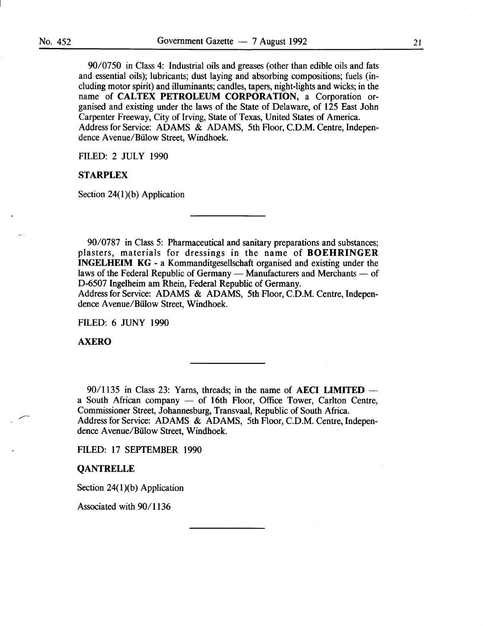90/0750 in Class 4: Industrial oils and greases (other than edible oils and fats and essential oils); lubricants; dust laying and absorbing compositions; fuels (including motor spirit) and illuminants; candles, tapers, night-lights and wicks; in the name of CALTEX PETROLEUM CORPORATION, a Corporation organised and existing under the laws of the State of Delaware, of 125 East John Carpenter Freeway, City of Irving, State of Texas, United States of America. Address for Service: ADAMS & ADAMS, 5th Floor, C.D.M. Centre, Independence A venue/Biilow Street, Windhoek.

FILED: 2 JULY 1990

#### STARPLEX

Section  $24(1)(b)$  Application

90/0787 in Class 5: Pharmaceutical and sanitary preparations and substances; plasters, materials for dressings in the name of BOEHRINGER INGELHEIM KG- a Kommanditgesellschaft organised and existing under the laws of the Federal Republic of Germany — Manufacturers and Merchants — of D-6507 Ingelheim am Rhein, Federal Republic of Germany.

Address for Service: ADAMS & ADAMS, 5th Floor, C.D.M. Centre, Independence A venue/Biilow Street, Windhoek.

FILED: 6 JUNY 1990

AXERO

90/1135 in Class 23: Yarns, threads; in the name of **AECI LIMITED** a South African company  $-$  of 16th Floor, Office Tower, Carlton Centre, Commissioner Street, Johannesburg, Transvaal, Republic of South Africa. Address for Service: ADAMS & ADAMS, 5th Floor, C.D.M. Centre, Independence A venue/Biilow Street, Windhoek.

FILED: 17 SEPTEMBER 1990

#### QANTRELLE

Section 24(1)(b) Application